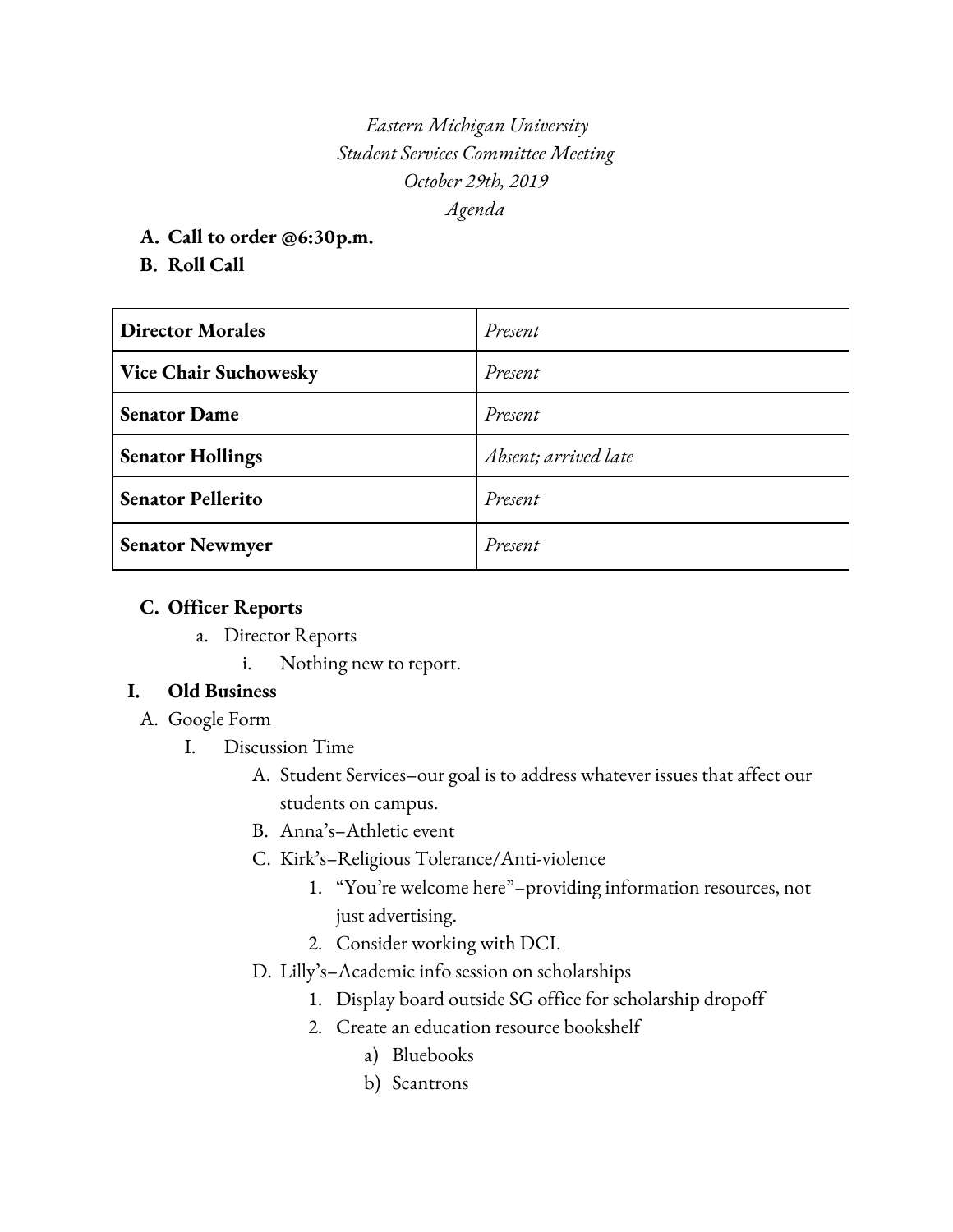*Eastern Michigan University Student Services Committee Meeting October 29th, 2019 Agenda*

- **A. Call to order @6:30p.m.**
- **B. Roll Call**

| <b>Director Morales</b>      | Present              |
|------------------------------|----------------------|
| <b>Vice Chair Suchowesky</b> | Present              |
| <b>Senator Dame</b>          | Present              |
| <b>Senator Hollings</b>      | Absent; arrived late |
| <b>Senator Pellerito</b>     | Present              |
| <b>Senator Newmyer</b>       | Present              |

### **C. Officer Reports**

a. Director Reports

i. Nothing new to report.

### **I. Old Business**

- A. Google Form
	- I. Discussion Time
		- A. Student Services–our goal is to address whatever issues that affect our students on campus.
		- B. Anna's–Athletic event
		- C. Kirk's–Religious Tolerance/Anti-violence
			- 1. "You're welcome here"–providing information resources, not just advertising.
			- 2. Consider working with DCI.
		- D. Lilly's–Academic info session on scholarships
			- 1. Display board outside SG office for scholarship dropoff
			- 2. Create an education resource bookshelf
				- a) Bluebooks
				- b) Scantrons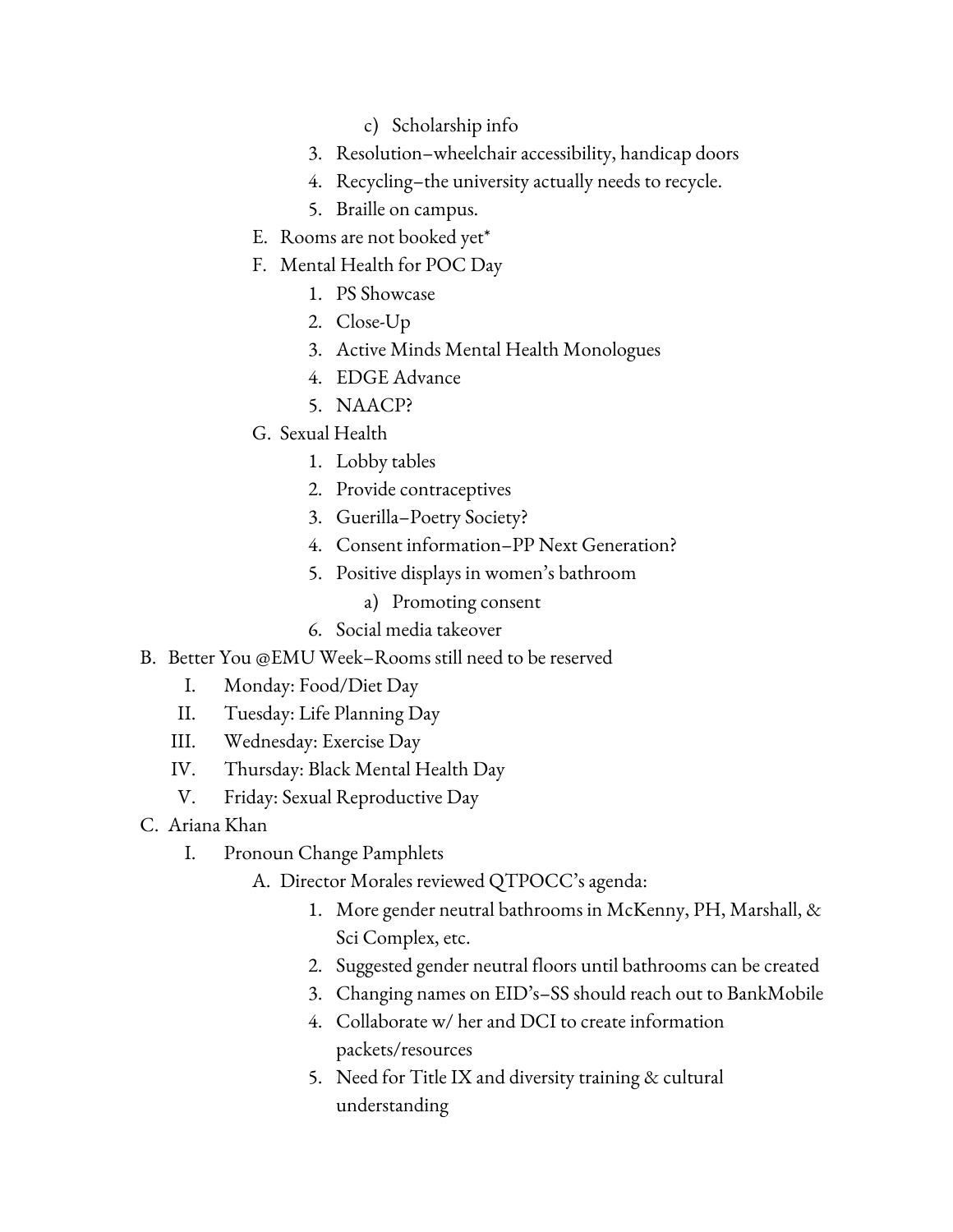- c) Scholarship info
- 3. Resolution–wheelchair accessibility, handicap doors
- 4. Recycling–the university actually needs to recycle.
- 5. Braille on campus.
- E. Rooms are not booked yet\*
- F. Mental Health for POC Day
	- 1. PS Showcase
	- 2. Close-Up
	- 3. Active Minds Mental Health Monologues
	- 4. EDGE Advance
	- 5. NAACP?
- G. Sexual Health
	- 1. Lobby tables
	- 2. Provide contraceptives
	- 3. Guerilla–Poetry Society?
	- 4. Consent information–PP Next Generation?
	- 5. Positive displays in women's bathroom
		- a) Promoting consent
	- 6. Social media takeover
- B. Better You @EMU Week–Rooms still need to be reserved
	- I. Monday: Food/Diet Day
	- II. Tuesday: Life Planning Day
	- III. Wednesday: Exercise Day
	- IV. Thursday: Black Mental Health Day
	- V. Friday: Sexual Reproductive Day
- C. Ariana Khan
	- I. Pronoun Change Pamphlets
		- A. Director Morales reviewed QTPOCC's agenda:
			- 1. More gender neutral bathrooms in McKenny, PH, Marshall, & Sci Complex, etc.
			- 2. Suggested gender neutral floors until bathrooms can be created
			- 3. Changing names on EID's–SS should reach out to BankMobile
			- 4. Collaborate w/ her and DCI to create information packets/resources
			- 5. Need for Title IX and diversity training & cultural understanding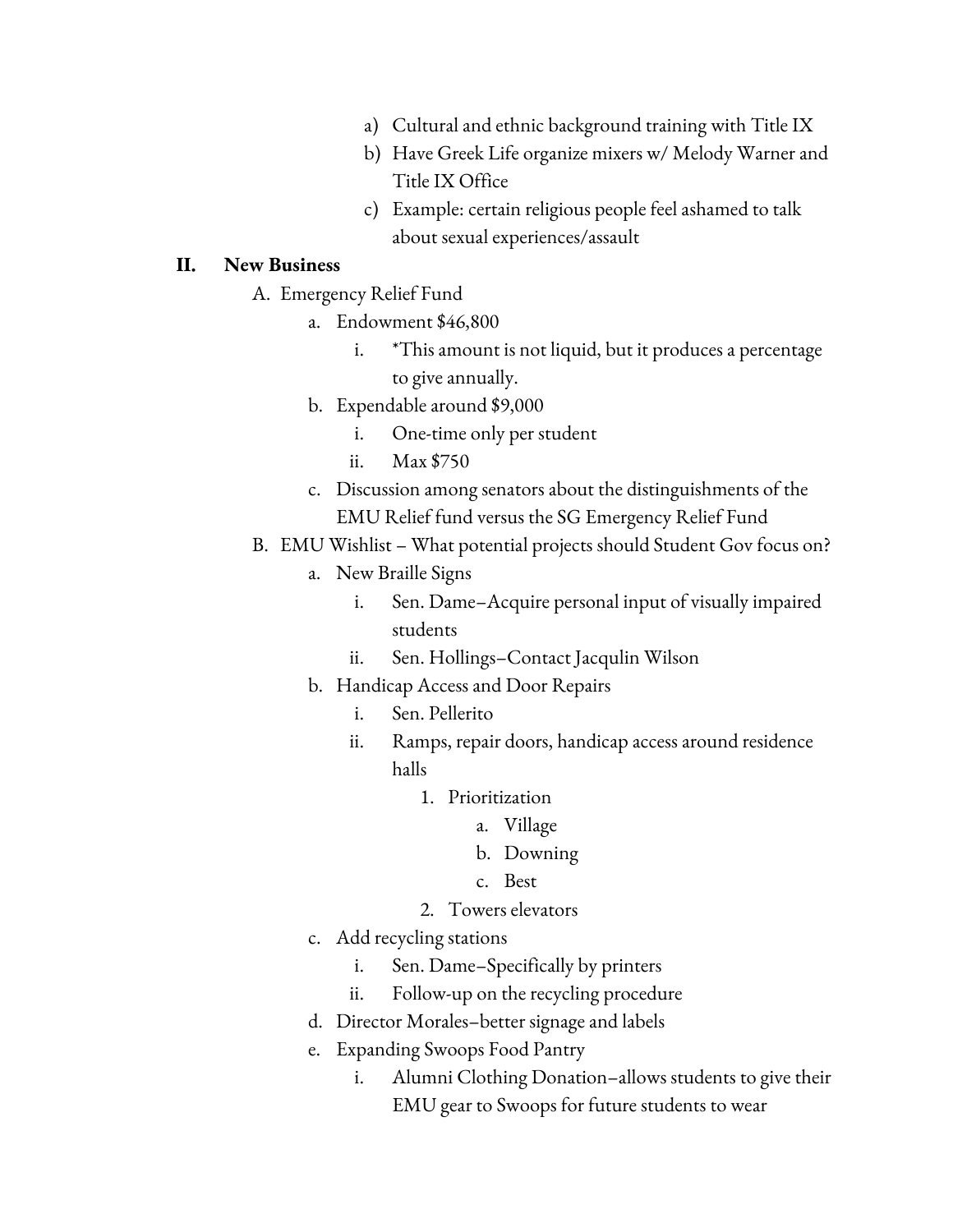- a) Cultural and ethnic background training with Title IX
- b) Have Greek Life organize mixers w/ Melody Warner and Title IX Office
- c) Example: certain religious people feel ashamed to talk about sexual experiences/assault

#### **II. New Business**

- A. Emergency Relief Fund
	- a. Endowment \$46,800
		- i. \*This amount is not liquid, but it produces a percentage to give annually.
	- b. Expendable around \$9,000
		- i. One-time only per student
		- ii. Max \$750
	- c. Discussion among senators about the distinguishments of the EMU Relief fund versus the SG Emergency Relief Fund
- B. EMU Wishlist What potential projects should Student Gov focus on?
	- a. New Braille Signs
		- i. Sen. Dame–Acquire personal input of visually impaired students
		- ii. Sen. Hollings–Contact Jacqulin Wilson
	- b. Handicap Access and Door Repairs
		- i. Sen. Pellerito
		- ii. Ramps, repair doors, handicap access around residence halls
			- 1. Prioritization
				- a. Village
				- b. Downing
				- c. Best
			- 2. Towers elevators
	- c. Add recycling stations
		- i. Sen. Dame–Specifically by printers
		- ii. Follow-up on the recycling procedure
	- d. Director Morales–better signage and labels
	- e. Expanding Swoops Food Pantry
		- i. Alumni Clothing Donation–allows students to give their EMU gear to Swoops for future students to wear